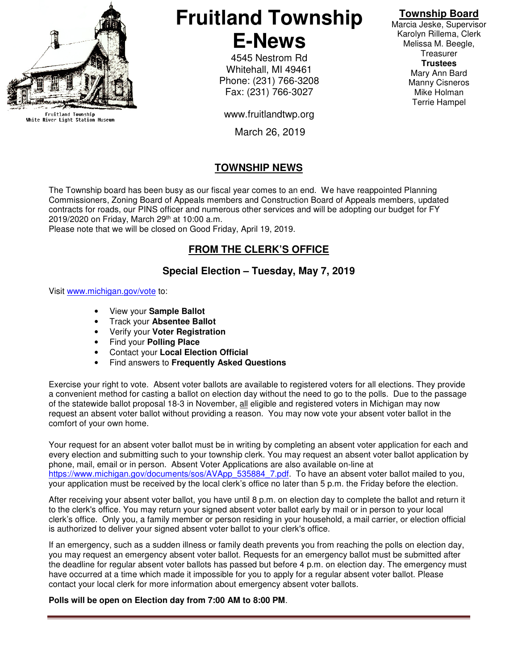

Fruitland Township<br>White River Light Station Museum

# **Fruitland Township E-News**

4545 Nestrom Rd Whitehall, MI 49461 Phone: (231) 766-3208 Fax: (231) 766-3027

www.fruitlandtwp.org

March 26, 2019

## **TOWNSHIP NEWS**

The Township board has been busy as our fiscal year comes to an end. We have reappointed Planning Commissioners, Zoning Board of Appeals members and Construction Board of Appeals members, updated contracts for roads, our PINS officer and numerous other services and will be adopting our budget for FY 2019/2020 on Friday, March 29th at 10:00 a.m.

Please note that we will be closed on Good Friday, April 19, 2019.

#### **FROM THE CLERK'S OFFICE**

#### **Special Election – Tuesday, May 7, 2019**

Visit www.michigan.gov/vote to:

- View your **Sample Ballot**
- Track your **Absentee Ballot**
- Verify your **Voter Registration**
- Find your **Polling Place**
- Contact your **Local Election Official**
- Find answers to **Frequently Asked Questions**

Exercise your right to vote. Absent voter ballots are available to registered voters for all elections. They provide a convenient method for casting a ballot on election day without the need to go to the polls. Due to the passage of the statewide ballot proposal 18-3 in November, all eligible and registered voters in Michigan may now request an absent voter ballot without providing a reason. You may now vote your absent voter ballot in the comfort of your own home.

Your request for an absent voter ballot must be in writing by completing an absent voter application for each and every election and submitting such to your township clerk. You may request an absent voter ballot application by phone, mail, email or in person. Absent Voter Applications are also available on-line at https://www.michigan.gov/documents/sos/AVApp\_535884\_7.pdf. To have an absent voter ballot mailed to you, your application must be received by the local clerk's office no later than 5 p.m. the Friday before the election.

After receiving your absent voter ballot, you have until 8 p.m. on election day to complete the ballot and return it to the clerk's office. You may return your signed absent voter ballot early by mail or in person to your local clerk's office. Only you, a family member or person residing in your household, a mail carrier, or election official is authorized to deliver your signed absent voter ballot to your clerk's office.

If an emergency, such as a sudden illness or family death prevents you from reaching the polls on election day, you may request an emergency absent voter ballot. Requests for an emergency ballot must be submitted after the deadline for regular absent voter ballots has passed but before 4 p.m. on election day. The emergency must have occurred at a time which made it impossible for you to apply for a regular absent voter ballot. Please contact your local clerk for more information about emergency absent voter ballots.

#### **Polls will be open on Election day from 7:00 AM to 8:00 PM**.

### **Township Board**

Marcia Jeske, Supervisor Karolyn Rillema, Clerk Melissa M. Beegle, **Treasurer Trustees**  Mary Ann Bard Manny Cisneros Mike Holman Terrie Hampel